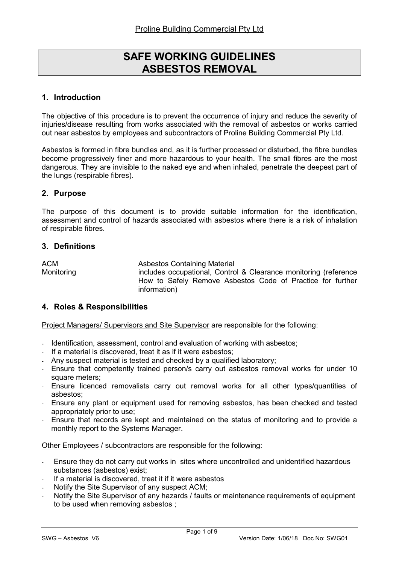# SAFE WORKING GUIDELINES ASBESTOS REMOVAL

# 1. Introduction

The objective of this procedure is to prevent the occurrence of injury and reduce the severity of injuries/disease resulting from works associated with the removal of asbestos or works carried out near asbestos by employees and subcontractors of Proline Building Commercial Pty Ltd.

Asbestos is formed in fibre bundles and, as it is further processed or disturbed, the fibre bundles become progressively finer and more hazardous to your health. The small fibres are the most dangerous. They are invisible to the naked eye and when inhaled, penetrate the deepest part of the lungs (respirable fibres).

#### 2. Purpose

The purpose of this document is to provide suitable information for the identification, assessment and control of hazards associated with asbestos where there is a risk of inhalation of respirable fibres.

#### 3. Definitions

ACM Asbestos Containing Material Monitoring includes occupational, Control & Clearance monitoring (reference How to Safely Remove Asbestos Code of Practice for further information)

#### 4. Roles & Responsibilities

Project Managers/ Supervisors and Site Supervisor are responsible for the following:

- Identification, assessment, control and evaluation of working with asbestos;
- If a material is discovered, treat it as if it were asbestos;
- Any suspect material is tested and checked by a qualified laboratory;
- Ensure that competently trained person/s carry out asbestos removal works for under 10 square meters;
- Ensure licenced removalists carry out removal works for all other types/quantities of asbestos;
- Ensure any plant or equipment used for removing asbestos, has been checked and tested appropriately prior to use;
- Ensure that records are kept and maintained on the status of monitoring and to provide a monthly report to the Systems Manager.

Other Employees / subcontractors are responsible for the following:

- Ensure they do not carry out works in sites where uncontrolled and unidentified hazardous substances (asbestos) exist;
- If a material is discovered, treat it if it were asbestos
- Notify the Site Supervisor of any suspect ACM;
- Notify the Site Supervisor of any hazards / faults or maintenance requirements of equipment to be used when removing asbestos ;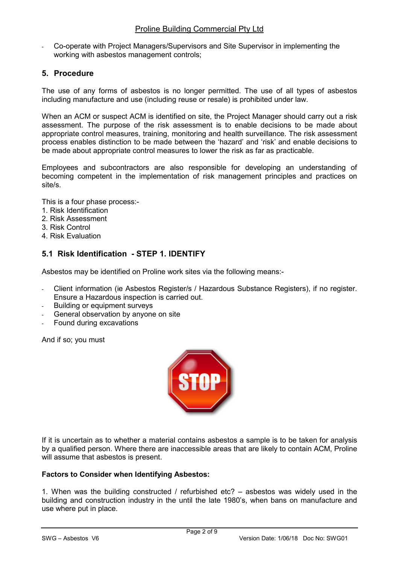- Co-operate with Project Managers/Supervisors and Site Supervisor in implementing the working with asbestos management controls;

#### 5. Procedure

The use of any forms of asbestos is no longer permitted. The use of all types of asbestos including manufacture and use (including reuse or resale) is prohibited under law.

When an ACM or suspect ACM is identified on site, the Project Manager should carry out a risk assessment. The purpose of the risk assessment is to enable decisions to be made about appropriate control measures, training, monitoring and health surveillance. The risk assessment process enables distinction to be made between the 'hazard' and 'risk' and enable decisions to be made about appropriate control measures to lower the risk as far as practicable.

Employees and subcontractors are also responsible for developing an understanding of becoming competent in the implementation of risk management principles and practices on site/s.

This is a four phase process:-

- 1. Risk Identification
- 2. Risk Assessment
- 3. Risk Control
- 4. Risk Evaluation

# 5.1 Risk Identification - STEP 1. IDENTIFY

Asbestos may be identified on Proline work sites via the following means:-

- Client information (ie Asbestos Register/s / Hazardous Substance Registers), if no register. Ensure a Hazardous inspection is carried out.
- Building or equipment surveys
- General observation by anyone on site
- Found during excavations

And if so; you must



If it is uncertain as to whether a material contains asbestos a sample is to be taken for analysis by a qualified person. Where there are inaccessible areas that are likely to contain ACM, Proline will assume that asbestos is present.

#### Factors to Consider when Identifying Asbestos:

1. When was the building constructed / refurbished etc? – asbestos was widely used in the building and construction industry in the until the late 1980's, when bans on manufacture and use where put in place.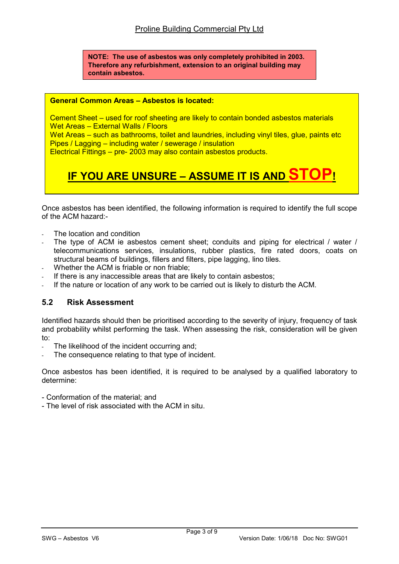NOTE: The use of asbestos was only completely prohibited in 2003. Therefore any refurbishment, extension to an original building may contain asbestos.

#### General Common Areas – Asbestos is located:

Cement Sheet – used for roof sheeting are likely to contain bonded asbestos materials Wet Areas – External Walls / Floors

Wet Areas – such as bathrooms, toilet and laundries, including vinyl tiles, glue, paints etc Pipes / Lagging – including water / sewerage / insulation

Electrical Fittings – pre- 2003 may also contain asbestos products.

# IF YOU ARE UNSURE – ASSUME IT IS AND STO

Once asbestos has been identified, the following information is required to identify the full scope of the ACM hazard:-

- The location and condition
- The type of ACM ie asbestos cement sheet; conduits and piping for electrical / water / telecommunications services, insulations, rubber plastics, fire rated doors, coats on structural beams of buildings, fillers and filters, pipe lagging, lino tiles.
- Whether the ACM is friable or non friable;
- If there is any inaccessible areas that are likely to contain asbestos:
- If the nature or location of any work to be carried out is likely to disturb the ACM.

#### 5.2 Risk Assessment

Identified hazards should then be prioritised according to the severity of injury, frequency of task and probability whilst performing the task. When assessing the risk, consideration will be given to:

- The likelihood of the incident occurring and;
- The consequence relating to that type of incident.

Once asbestos has been identified, it is required to be analysed by a qualified laboratory to determine:

- Conformation of the material; and

- The level of risk associated with the ACM in situ.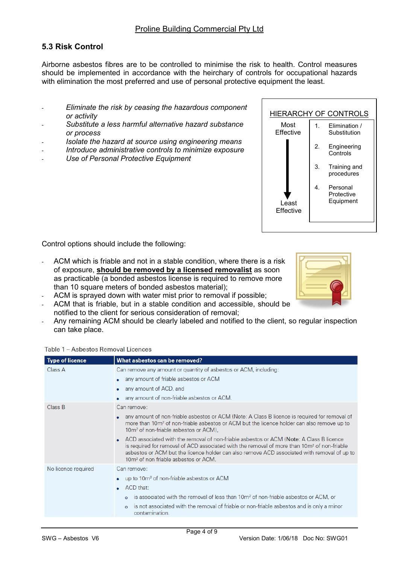## 5.3 Risk Control

Airborne asbestos fibres are to be controlled to minimise the risk to health. Control measures should be implemented in accordance with the heirchary of controls for occupational hazards with elimination the most preferred and use of personal protective equipment the least.

- Eliminate the risk by ceasing the hazardous component or activity
- Substitute a less harmful alternative hazard substance or process
- Isolate the hazard at source using engineering means
- Introduce administrative controls to minimize exposure
- Use of Personal Protective Equipment



Control options should include the following:

- ACM which is friable and not in a stable condition, where there is a risk of exposure, should be removed by a licensed removalist as soon as practicable (a bonded asbestos license is required to remove more than 10 square meters of bonded asbestos material);
- ACM is sprayed down with water mist prior to removal if possible;
- ACM that is friable, but in a stable condition and accessible, should be notified to the client for serious consideration of removal;
- Any remaining ACM should be clearly labeled and notified to the client, so regular inspection can take place.

| <b>Type of licence</b> | What asbestos can be removed?                                                                                                                                                                                                                                                                                                                         |  |  |  |
|------------------------|-------------------------------------------------------------------------------------------------------------------------------------------------------------------------------------------------------------------------------------------------------------------------------------------------------------------------------------------------------|--|--|--|
| Class A                | Can remove any amount or quantity of asbestos or ACM, including:                                                                                                                                                                                                                                                                                      |  |  |  |
|                        | any amount of friable asbestos or ACM                                                                                                                                                                                                                                                                                                                 |  |  |  |
|                        | any amount of ACD, and<br>٠                                                                                                                                                                                                                                                                                                                           |  |  |  |
|                        | any amount of non-friable asbestos or ACM.                                                                                                                                                                                                                                                                                                            |  |  |  |
| Class B                | Can remove:                                                                                                                                                                                                                                                                                                                                           |  |  |  |
|                        | any amount of non-friable asbestos or ACM (Note: A Class B licence is required for removal of<br>more than 10m <sup>2</sup> of non-friable asbestos or ACM but the licence holder can also remove up to<br>10m <sup>2</sup> of non-friable asbestos or ACM),                                                                                          |  |  |  |
|                        | ACD associated with the removal of non-friable asbestos or ACM (Note: A Class B licence<br>is required for removal of ACD associated with the removal of more than 10m <sup>2</sup> of non-friable<br>asbestos or ACM but the licence holder can also remove ACD associated with removal of up to<br>10m <sup>2</sup> of non friable asbestos or ACM. |  |  |  |
| No licence required    | Can remove:                                                                                                                                                                                                                                                                                                                                           |  |  |  |
|                        | up to 10m <sup>2</sup> of non-friable asbestos or ACM<br>$\bullet$                                                                                                                                                                                                                                                                                    |  |  |  |
|                        | ACD that:                                                                                                                                                                                                                                                                                                                                             |  |  |  |
|                        | is associated with the removal of less than 10m <sup>2</sup> of non-friable asbestos or ACM, or<br>$\circ$                                                                                                                                                                                                                                            |  |  |  |
|                        | is not associated with the removal of friable or non-friable asbestos and is only a minor<br>$\circ$<br>contamination.                                                                                                                                                                                                                                |  |  |  |

Table 1 - Asbestos Removal Licences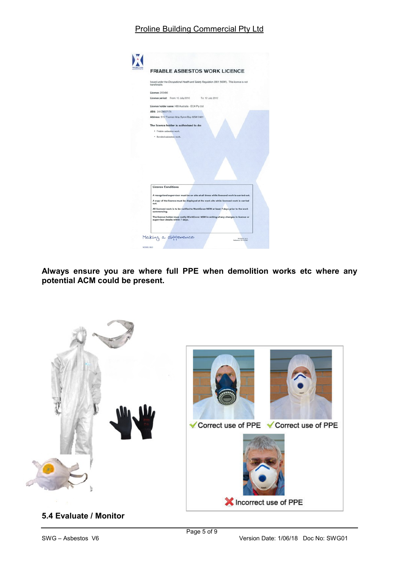# Proline Building Commercial Pty Ltd

|                           |                                                                                                                           | <b>FRIABLE ASBESTOS WORK LICENCE</b> |  |
|---------------------------|---------------------------------------------------------------------------------------------------------------------------|--------------------------------------|--|
| transferable.             | Issued under the Occupational Health and Safety Regulation 2001 (NSW). This licence is not                                |                                      |  |
| Licence: 205486           |                                                                                                                           |                                      |  |
|                           | Licence period: From: 12 July 2010                                                                                        | To: 12 July 2012                     |  |
|                           | Licence holder name: HBI Australia - ECA Pty Ltd                                                                          |                                      |  |
| ABN: 24129607174          |                                                                                                                           |                                      |  |
|                           | Address: 5/12 Tasman Way Byron Bay NSW 2481                                                                               |                                      |  |
|                           | The licence holder is authorised to do:                                                                                   |                                      |  |
| · Friable asbestos work.  |                                                                                                                           |                                      |  |
|                           |                                                                                                                           |                                      |  |
|                           | * Bonded asbestos work.                                                                                                   |                                      |  |
|                           |                                                                                                                           |                                      |  |
| <b>Licence Conditions</b> |                                                                                                                           |                                      |  |
|                           | A recognised supervisor must be on site at all times while licensed work is carried out.                                  |                                      |  |
| out.                      | A copy of the licence must be displayed at the work site while licensed work is carried                                   |                                      |  |
| commencing.               | All licensed work is to be notified to WorkCover NSW at least 7 days prior to the work                                    |                                      |  |
|                           | The licence holder must notify WorkCover NSW in writing of any changes in licence or<br>supervisor details within 7 days. |                                      |  |

Always ensure you are where full PPE when demolition works etc where any potential ACM could be present.



5.4 Evaluate / Monitor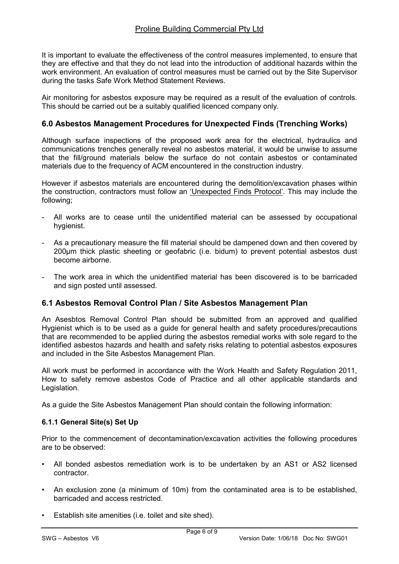It is important to evaluate the effectiveness of the control measures implemented, to ensure that they are effective and that they do not lead into the introduction of additional hazards within the work environment. An evaluation of control measures must be carried out by the Site Supervisor during the tasks Safe Work Method Statement Reviews.

Air monitoring for asbestos exposure may be required as a result of the evaluation of controls. This should be carried out be a suitably qualified licenced company only.

#### 6.0 Asbestos Management Procedures for Unexpected Finds (Trenching Works)

Although surface inspections of the proposed work area for the electrical, hydraulics and communications trenches generally reveal no asbestos material, it would be unwise to assume that the fill/ground materials below the surface do not contain asbestos or contaminated materials due to the frequency of ACM encountered in the construction industry.

However if asbestos materials are encountered during the demolition/excavation phases within the construction, contractors must follow an 'Unexpected Finds Protocol'. This may include the following;

- All works are to cease until the unidentified material can be assessed by occupational hygienist.
- As a precautionary measure the fill material should be dampened down and then covered by 200μm thick plastic sheeting or geofabric (i.e. bidum) to prevent potential asbestos dust become airborne.
- The work area in which the unidentified material has been discovered is to be barricaded and sign posted until assessed.

#### 6.1 Asbestos Removal Control Plan / Site Asbestos Management Plan

An Asesbtos Removal Control Plan should be submitted from an approved and qualified Hygienist which is to be used as a guide for general health and safety procedures/precautions that are recommended to be applied during the asbestos remedial works with sole regard to the identified asbestos hazards and health and safety risks relating to potential asbestos exposures and included in the Site Asbestos Management Plan.

All work must be performed in accordance with the Work Health and Safety Regulation 2011, How to safety remove asbestos Code of Practice and all other applicable standards and Legislation.

As a guide the Site Asbestos Management Plan should contain the following information:

#### 6.1.1 General Site(s) Set Up

Prior to the commencement of decontamination/excavation activities the following procedures are to be observed:

- All bonded asbestos remediation work is to be undertaken by an AS1 or AS2 licensed contractor.
- An exclusion zone (a minimum of 10m) from the contaminated area is to be established, barricaded and access restricted.
- Establish site amenities (i.e. toilet and site shed).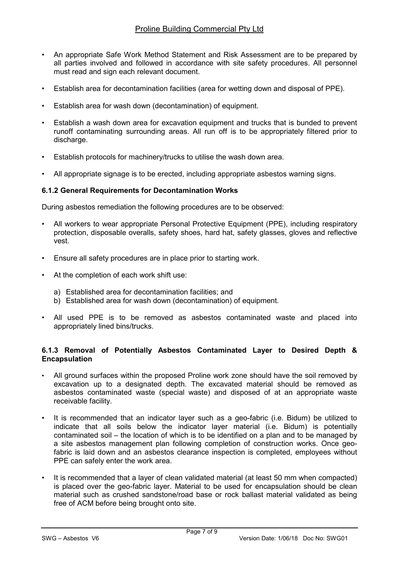- An appropriate Safe Work Method Statement and Risk Assessment are to be prepared by all parties involved and followed in accordance with site safety procedures. All personnel must read and sign each relevant document.
- Establish area for decontamination facilities (area for wetting down and disposal of PPE).
- Establish area for wash down (decontamination) of equipment.
- Establish a wash down area for excavation equipment and trucks that is bunded to prevent runoff contaminating surrounding areas. All run off is to be appropriately filtered prior to discharge.
- Establish protocols for machinery/trucks to utilise the wash down area.
- All appropriate signage is to be erected, including appropriate asbestos warning signs.

#### 6.1.2 General Requirements for Decontamination Works

During asbestos remediation the following procedures are to be observed:

- All workers to wear appropriate Personal Protective Equipment (PPE), including respiratory protection, disposable overalls, safety shoes, hard hat, safety glasses, gloves and reflective vest.
- Ensure all safety procedures are in place prior to starting work.
- At the completion of each work shift use:
	- a) Established area for decontamination facilities; and
	- b) Established area for wash down (decontamination) of equipment.
- All used PPE is to be removed as asbestos contaminated waste and placed into appropriately lined bins/trucks.

#### 6.1.3 Removal of Potentially Asbestos Contaminated Layer to Desired Depth & Encapsulation

- All ground surfaces within the proposed Proline work zone should have the soil removed by excavation up to a designated depth. The excavated material should be removed as asbestos contaminated waste (special waste) and disposed of at an appropriate waste receivable facility.
- It is recommended that an indicator layer such as a geo-fabric (i.e. Bidum) be utilized to indicate that all soils below the indicator layer material (i.e. Bidum) is potentially contaminated soil – the location of which is to be identified on a plan and to be managed by a site asbestos management plan following completion of construction works. Once geofabric is laid down and an asbestos clearance inspection is completed, employees without PPE can safely enter the work area.
- It is recommended that a layer of clean validated material (at least 50 mm when compacted) is placed over the geo-fabric layer. Material to be used for encapsulation should be clean material such as crushed sandstone/road base or rock ballast material validated as being free of ACM before being brought onto site.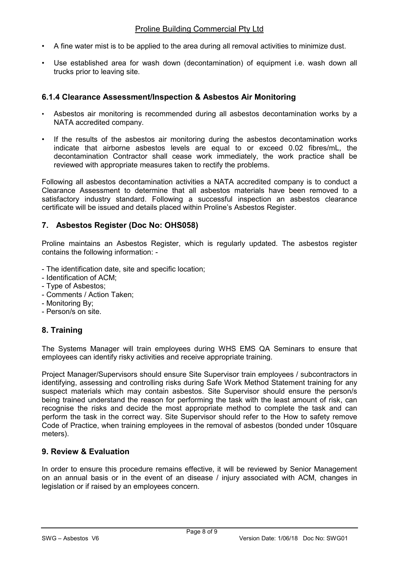- A fine water mist is to be applied to the area during all removal activities to minimize dust.
- Use established area for wash down (decontamination) of equipment i.e. wash down all trucks prior to leaving site.

## 6.1.4 Clearance Assessment/Inspection & Asbestos Air Monitoring

- Asbestos air monitoring is recommended during all asbestos decontamination works by a NATA accredited company.
- If the results of the asbestos air monitoring during the asbestos decontamination works indicate that airborne asbestos levels are equal to or exceed 0.02 fibres/mL, the decontamination Contractor shall cease work immediately, the work practice shall be reviewed with appropriate measures taken to rectify the problems.

Following all asbestos decontamination activities a NATA accredited company is to conduct a Clearance Assessment to determine that all asbestos materials have been removed to a satisfactory industry standard. Following a successful inspection an asbestos clearance certificate will be issued and details placed within Proline's Asbestos Register.

#### 7. Asbestos Register (Doc No: OHS058)

Proline maintains an Asbestos Register, which is regularly updated. The asbestos register contains the following information: -

- The identification date, site and specific location;
- Identification of ACM;
- Type of Asbestos;
- Comments / Action Taken;
- Monitoring By;
- Person/s on site.

# 8. Training

The Systems Manager will train employees during WHS EMS QA Seminars to ensure that employees can identify risky activities and receive appropriate training.

Project Manager/Supervisors should ensure Site Supervisor train employees / subcontractors in identifying, assessing and controlling risks during Safe Work Method Statement training for any suspect materials which may contain asbestos. Site Supervisor should ensure the person/s being trained understand the reason for performing the task with the least amount of risk, can recognise the risks and decide the most appropriate method to complete the task and can perform the task in the correct way. Site Supervisor should refer to the How to safety remove Code of Practice, when training employees in the removal of asbestos (bonded under 10square meters).

# 9. Review & Evaluation

In order to ensure this procedure remains effective, it will be reviewed by Senior Management on an annual basis or in the event of an disease / injury associated with ACM, changes in legislation or if raised by an employees concern.